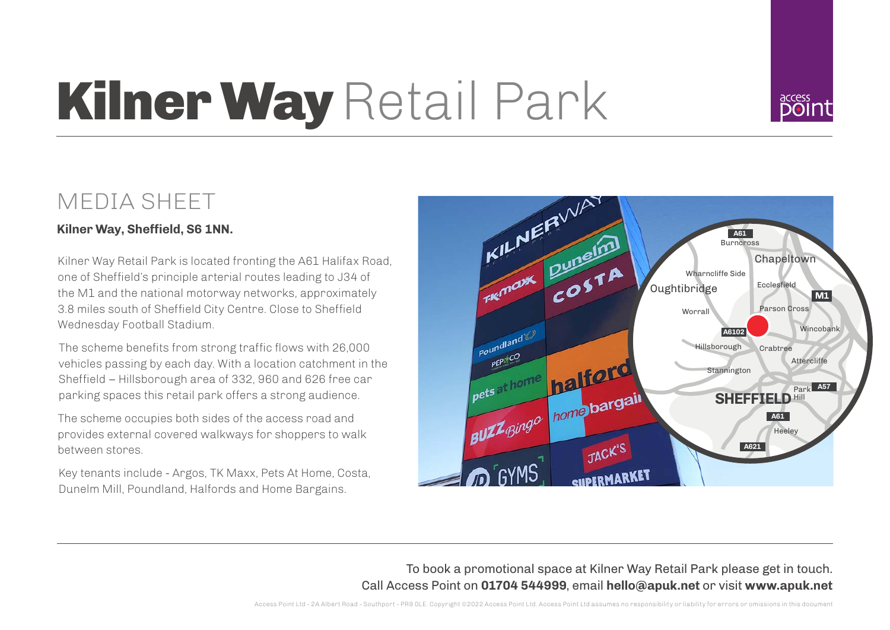## Kilner Way Retail Park



## MEDIA SHEET

## **Kilner Way, Sheffield, S6 1NN.**

Kilner Way Retail Park is located fronting the A61 Halifax Road, one of Sheffield's principle arterial routes leading to J34 of the M1 and the national motorway networks, approximately 3.8 miles south of Sheffield City Centre. Close to Sheffield Wednesday Football Stadium.

The scheme benefits from strong traffic flows with 26,000 vehicles passing by each day. With a location catchment in the Sheffield – Hillsborough area of 332, 960 and 626 free car parking spaces this retail park offers a strong audience.

The scheme occupies both sides of the access road and provides external covered walkways for shoppers to walk between stores.

Key tenants include - Argos, TK Maxx, Pets At Home, Costa, Dunelm Mill, Poundland, Halfords and Home Bargains.



To book a promotional space at Kilner Way Retail Park please get in touch. Call Access Point on **01704 544999**, email **hello@apuk.net** or visit **www.apuk.net**